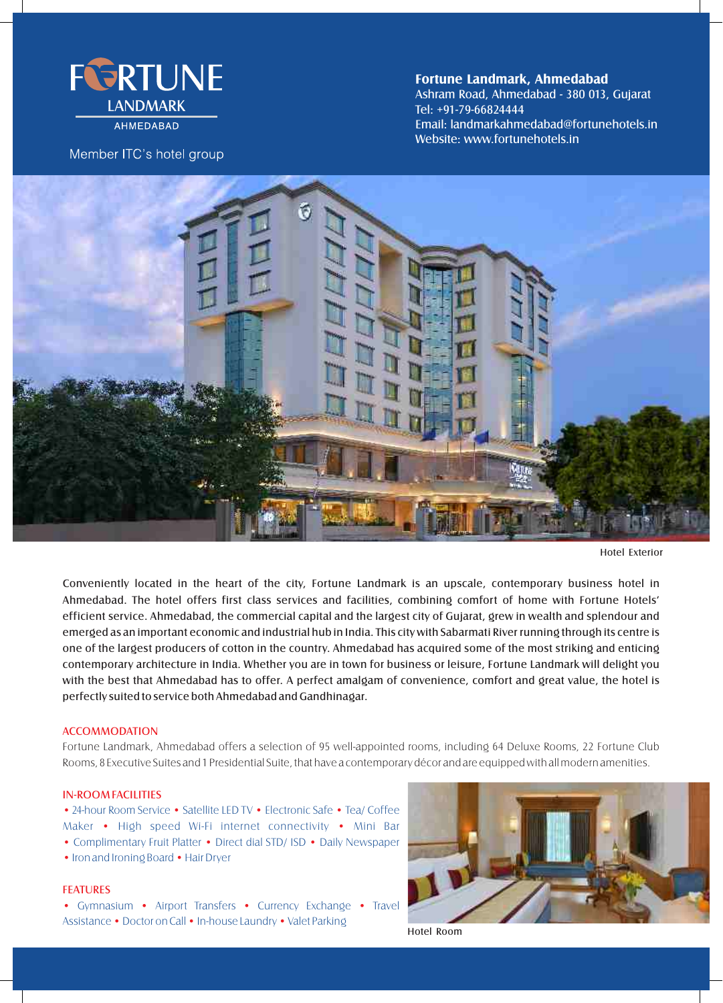

**AHMFDABAD** 

# Member ITC's hotel group

**Fortune Landmark, Ahmedabad**

Ashram Road, Ahmedabad - 380 013, Gujarat Website: www.fortunehotels.in Tel: +91-79-66824444 Email: landmarkahmedabad@fortunehotels.in



Hotel Exterior

Conveniently located in the heart of the city, Fortune Landmark is an upscale, contemporary business hotel in Ahmedabad. The hotel offers first class services and facilities, combining comfort of home with Fortune Hotels' efficient service. Ahmedabad, the commercial capital and the largest city of Gujarat, grew in wealth and splendour and emerged as an important economic and industrial hub in India. This city with Sabarmati River running through its centre is one of the largest producers of cotton in the country. Ahmedabad has acquired some of the most striking and enticing contemporary architecture in India. Whether you are in town for business or leisure, Fortune Landmark will delight you with the best that Ahmedabad has to offer. A perfect amalgam of convenience, comfort and great value, the hotel is perfectly suited to service both Ahmedabad and Gandhinagar.

## ACCOMMODATION

Fortune Landmark, Ahmedabad offers a selection of 95 well-appointed rooms, including 64 Deluxe Rooms, 22 Fortune Club Rooms, 8 Executive Suites and 1 Presidential Suite, that have a contemporary décor and are equipped with all modern amenities.

#### IN-ROOM FACILITIES

• 24-hour Room Service • Satellite LED TV • Electronic Safe • Tea/ Coffee Maker • High speed Wi-Fi internet connectivity • Mini Bar • Complimentary Fruit Platter • Direct dial STD/ ISD • Daily Newspaper • Iron and Ironing Board • Hair Dryer

## FEATURES

• Gymnasium • Airport Transfers • Currency Exchange • Travel Assistance • Doctor on Call • In-house Laundry • Valet Parking



Hotel Room